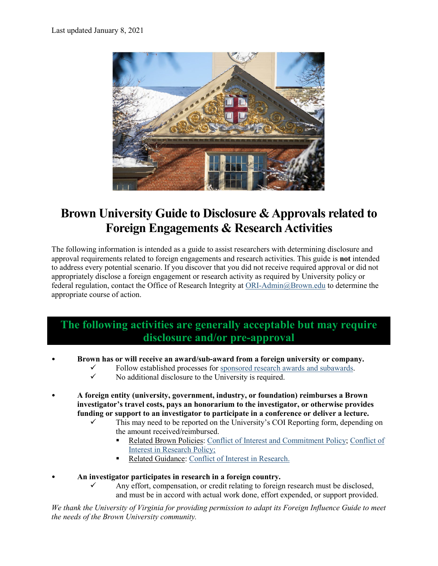

# **Brown University Guide to Disclosure & Approvals related to Foreign Engagements & Research Activities**

The following information is intended as a guide to assist researchers with determining disclosure and approval requirements related to foreign engagements and research activities. This guide is **not** intended to address every potential scenario. If you discover that you did not receive required approval or did not appropriately disclose a foreign engagement or research activity as required by University policy or federal regulation, contact the Office of Research Integrity at [ORI-Admin@Brown.edu](mailto:ORI-Admin@Brown.edu) to determine the appropriate course of action.

## **The following activities are generally acceptable but may require disclosure and/or pre-approval**

- **Brown has or will receive an award/sub**‐**award from a foreign university or company.** 
	- Follow established processes for [sponsored research awards and subawards.](https://www.brown.edu/research/conducting-research-brown/preparing-and-submitting-proposal/proposal-review-submission-osp/subawards-lifecycle)
	- No additional disclosure to the University is required.
- **A foreign entity (university, government, industry, or foundation) reimburses a Brown investigator's travel costs, pays an honorarium to the investigator, or otherwise provides funding or support to an investigator to participate in a conference or deliver a lecture.** 
	- This may need to be reported on the University's COI Reporting form, depending on the amount received/reimbursed.
		- Related Brown Policies[: Conflict of Interest and Commitment Policy;](https://www.brown.edu/about/administration/policies/sites/brown.edu.about.administration.policies/files/uploads/Univ-COIC-Policy-10-26-19.pdf) [Conflict of](https://www.brown.edu/research/COIpolicy)  [Interest in Research Policy;](https://www.brown.edu/research/COIpolicy)
		- Related Guidance: [Conflict of Interest](https://www.brown.edu/research/coi) in Research.
- **An investigator participates in research in a foreign country.**
	- Any effort, compensation, or credit relating to foreign research must be disclosed, and must be in accord with actual work done, effort expended, or support provided.

*We thank the University of Virginia for providing permission to adapt its Foreign Influence Guide to meet the needs of the Brown University community.*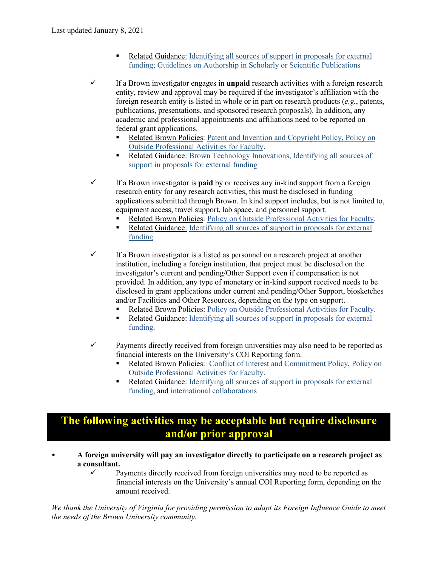- Related Guidance: [Identifying all sources of support in proposals for external](https://www.brown.edu/research/conducting-research-brown/preparing-and-submitting-proposal/proposal-review-submission-osp/identifying-all-sources-support-proposals-external-funding)  [funding;](https://www.brown.edu/research/conducting-research-brown/preparing-and-submitting-proposal/proposal-review-submission-osp/identifying-all-sources-support-proposals-external-funding) [Guidelines on Authorship in Scholarly or Scientific Publications](https://www.brown.edu/research/Authorship)
- $\checkmark$  If a Brown investigator engages in **unpaid** research activities with a foreign research entity, review and approval may be required if the investigator's affiliation with the foreign research entity is listed in whole or in part on research products (*e.g.*, patents, publications, presentations, and sponsored research proposals). In addition, any academic and professional appointments and affiliations need to be reported on federal grant applications.
	- Related Brown Policies: [Patent and Invention and Copyright Policy,](https://www.brown.edu/research/conducting-research-brown/brown-technology-innovations/faculty-inventors/patent-and-invention-policy) [Policy on](https://www.brown.edu/about/administration/provost/sites/provost/files/Policy%20on%20Outside%20Activities%20for%20Faculty_Final%207.31.19.pdf)  [Outside Professional Activities for Faculty.](https://www.brown.edu/about/administration/provost/sites/provost/files/Policy%20on%20Outside%20Activities%20for%20Faculty_Final%207.31.19.pdf)
	- Related Guidance: [Brown Technology Innovations,](https://www.brown.edu/research/conducting-research-brown/tech-innovations) Identifying all sources of [support in proposals for external funding](https://www.brown.edu/research/conducting-research-brown/preparing-and-submitting-proposal/proposal-review-submission-osp/identifying-all-sources-support-proposals-external-funding)
- $\checkmark$  If a Brown investigator is **paid** by or receives any in-kind support from a foreign research entity for any research activities, this must be disclosed in funding applications submitted through Brown. In kind support includes, but is not limited to, equipment access, travel support, lab space, and personnel support.
	- Related Brown Policies: [Policy on Outside Professional Activities for Faculty.](https://www.brown.edu/about/administration/provost/sites/provost/files/Policy%20on%20Outside%20Activities%20for%20Faculty_Final%207.31.19.pdf)
	- Related Guidance: Identifying all sources of support in proposals for external [funding](https://www.brown.edu/research/conducting-research-brown/preparing-and-submitting-proposal/proposal-review-submission-osp/identifying-all-sources-support-proposals-external-funding)
- $\checkmark$  If a Brown investigator is a listed as personnel on a research project at another institution, including a foreign institution, that project must be disclosed on the investigator's current and pending/Other Support even if compensation is not provided. In addition, any type of monetary or in-kind support received needs to be disclosed in grant applications under current and pending/Other Support, biosketches and/or Facilities and Other Resources, depending on the type on support.
	- Related Brown Policies[: Policy on Outside Professional Activities for Faculty.](https://www.brown.edu/about/administration/provost/sites/provost/files/Policy%20on%20Outside%20Activities%20for%20Faculty_Final%207.31.19.pdf)
	- Related Guidance: Identifying all sources of support in proposals for external [funding.](https://www.brown.edu/research/conducting-research-brown/preparing-and-submitting-proposal/proposal-review-submission-osp/identifying-all-sources-support-proposals-external-funding)
- $\checkmark$  Payments directly received from foreign universities may also need to be reported as financial interests on the University's COI Reporting form.
	- Related Brown Policies: [Conflict of Interest and Commitment Policy,](https://www.brown.edu/about/administration/policies/sites/brown.edu.about.administration.policies/files/uploads/Univ-COIC-Policy-10-26-19.pdf) [Policy on](https://www.brown.edu/about/administration/provost/sites/provost/files/Policy%20on%20Outside%20Activities%20for%20Faculty_Final%207.31.19.pdf)  [Outside Professional Activities for Faculty.](https://www.brown.edu/about/administration/provost/sites/provost/files/Policy%20on%20Outside%20Activities%20for%20Faculty_Final%207.31.19.pdf)
	- Related Guidance: Identifying all sources of support in proposals for external [funding,](https://www.brown.edu/research/conducting-research-brown/preparing-and-submitting-proposal/proposal-review-submission-osp/identifying-all-sources-support-proposals-external-funding) and [international collaborations](https://www.brown.edu/research/international-collaborations)

### **The following activities may be acceptable but require disclosure and/or prior approval**

- **A foreign university will pay an investigator directly to participate on a research project as a consultant.**
	- $\checkmark$  Payments directly received from foreign universities may need to be reported as financial interests on the University's annual COI Reporting form, depending on the amount received.

*We thank the University of Virginia for providing permission to adapt its Foreign Influence Guide to meet the needs of the Brown University community.*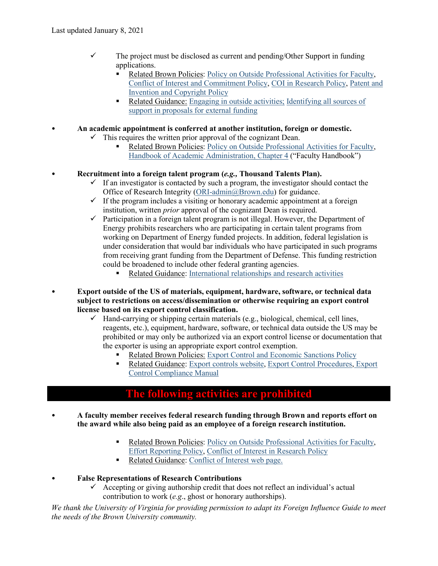- $\checkmark$  The project must be disclosed as current and pending/Other Support in funding applications.
	- Related Brown Policies: [Policy on Outside Professional Activities for Faculty,](https://www.brown.edu/about/administration/provost/sites/provost/files/Policy%20on%20Outside%20Activities%20for%20Faculty_Final%207.31.19.pdf) [Conflict of Interest and Commitment Policy,](https://www.brown.edu/about/administration/policies/sites/brown.edu.about.administration.policies/files/uploads/Univ-COIC-Policy-10-26-19.pdf) [COI in Research](https://www.brown.edu/research/COIpolicy) Policy, [Patent and](https://www.brown.edu/research/conducting-research-brown/brown-technology-innovations/faculty-inventors/patent-and-invention-policy)  [Invention and Copyright Policy](https://www.brown.edu/research/conducting-research-brown/brown-technology-innovations/faculty-inventors/patent-and-invention-policy)
	- Related Guidance: [Engaging in outside activities;](https://www.brown.edu/research/conducting-research-brown/preparing-proposal/research-integrity/ori-staff-directory/engaging-in-outside-activities) [Identifying all sources of](https://www.brown.edu/research/conducting-research-brown/preparing-and-submitting-proposal/proposal-review-submission-osp/identifying-all-sources-support-proposals-external-funding)  [support in proposals for external funding](https://www.brown.edu/research/conducting-research-brown/preparing-and-submitting-proposal/proposal-review-submission-osp/identifying-all-sources-support-proposals-external-funding)

• **An academic appointment is conferred at another institution, foreign or domestic.** 

- $\checkmark$  This requires the written prior approval of the cognizant Dean.
	- Related Brown Policies: Policy on [Outside Professional Activities for Faculty,](https://www.brown.edu/about/administration/provost/sites/provost/files/Policy%20on%20Outside%20Activities%20for%20Faculty_Final%207.31.19.pdf) [Handbook of Academic Administration, Chapter 4](https://www.brown.edu/about/administration/dean-of-faculty/handbook-academic-administration) ("Faculty Handbook")

#### • **Recruitment into a foreign talent program (***e.g.,* **Thousand Talents Plan).**

- $\checkmark$  If an investigator is contacted by such a program, the investigator should contact the Office of Research Integrity [\(ORI-admin@Brown.edu\)](mailto:ORI-admin@Brown.edu) for guidance.
- $\checkmark$  If the program includes a visiting or honorary academic appointment at a foreign institution, written *prior* approval of the cognizant Dean is required.
- $\checkmark$  Participation in a foreign talent program is not illegal. However, the Department of Energy prohibits researchers who are participating in certain talent programs from working on Department of Energy funded projects. In addition, federal legislation is under consideration that would bar individuals who have participated in such programs from receiving grant funding from the Department of Defense. This funding restriction could be broadened to include other federal granting agencies.
	- Related Guidance: [International relationships and research activities](https://www.brown.edu/research/conducting-research-brown/international-research-activities)
- **Export outside of the US of materials, equipment, hardware, software, or technical data subject to restrictions on access/dissemination or otherwise requiring an export control license based on its export control classification.** 
	- $\checkmark$  Hand-carrying or shipping certain materials (e.g., biological, chemical, cell lines, reagents, etc.), equipment, hardware, software, or technical data outside the US may be prohibited or may only be authorized via an export control license or documentation that the exporter is using an appropriate export control exemption.
		- Related Brown Policies: [Export Control and Economic Sanctions Policy](https://www.brown.edu/research/ExportControlPolicy)
		- Related Guidance: [Export controls website,](https://www.brown.edu/research/export-control) [Export Control Procedures,](https://www.brown.edu/research/exportcontrolpolicyandprocedures) Export [Control Compliance Manual](https://www.brown.edu/research/sites/research/files/ECCM%20with%20Appendices_May%202%2C%202019.pdf)

### **The following activities are prohibited**

- **A faculty member receives federal research funding through Brown and reports effort on the award while also being paid as an employee of a foreign research institution.**
	- Related Brown Policies: [Policy on Outside Professional Activities for Faculty,](https://www.brown.edu/about/administration/provost/sites/provost/files/Policy%20on%20Outside%20Activities%20for%20Faculty_Final%207.31.19.pdf) [Effort Reporting Policy,](https://www.brown.edu/research/conducting-research-brown/managing-award/award-management/effort-reporting-policy) [Conflict of Interest in Research Policy](https://www.brown.edu/research/COIpolicy)
	- Related Guidance: [Conflict of Interest web page.](https://www.brown.edu/research/coi)
- **False Representations of Research Contributions**
	- $\checkmark$  Accepting or giving authorship credit that does not reflect an individual's actual contribution to work (*e.g*., ghost or honorary authorships).

*We thank the University of Virginia for providing permission to adapt its Foreign Influence Guide to meet the needs of the Brown University community.*